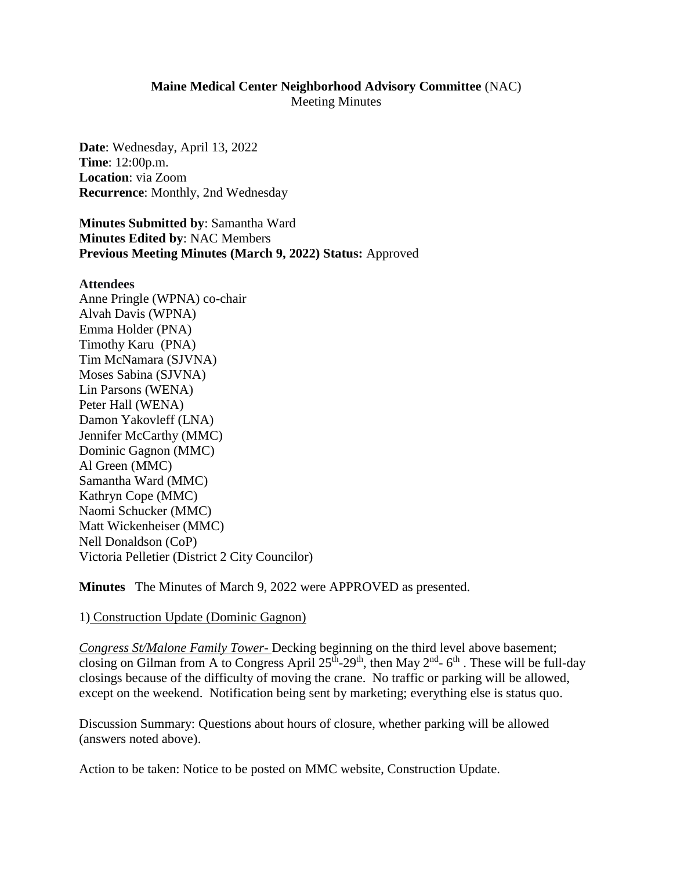## **Maine Medical Center Neighborhood Advisory Committee** (NAC)

Meeting Minutes

**Date**: Wednesday, April 13, 2022 **Time**: 12:00p.m. **Location**: via Zoom **Recurrence**: Monthly, 2nd Wednesday

**Minutes Submitted by**: Samantha Ward **Minutes Edited by**: NAC Members **Previous Meeting Minutes (March 9, 2022) Status:** Approved

**Attendees**  Anne Pringle (WPNA) co-chair Alvah Davis (WPNA) Emma Holder (PNA) Timothy Karu (PNA) Tim McNamara (SJVNA) Moses Sabina (SJVNA) Lin Parsons (WENA) Peter Hall (WENA) Damon Yakovleff (LNA) Jennifer McCarthy (MMC) Dominic Gagnon (MMC) Al Green (MMC) Samantha Ward (MMC) Kathryn Cope (MMC) Naomi Schucker (MMC) Matt Wickenheiser (MMC) Nell Donaldson (CoP) Victoria Pelletier (District 2 City Councilor)

**Minutes** The Minutes of March 9, 2022 were APPROVED as presented.

1) Construction Update (Dominic Gagnon)

*Congress St/Malone Family Tower-* Decking beginning on the third level above basement; closing on Gilman from A to Congress April  $25<sup>th</sup>$ -29<sup>th</sup>, then May  $2<sup>nd</sup>$ -6<sup>th</sup>. These will be full-day closings because of the difficulty of moving the crane. No traffic or parking will be allowed, except on the weekend. Notification being sent by marketing; everything else is status quo.

Discussion Summary: Questions about hours of closure, whether parking will be allowed (answers noted above).

Action to be taken: Notice to be posted on MMC website, Construction Update.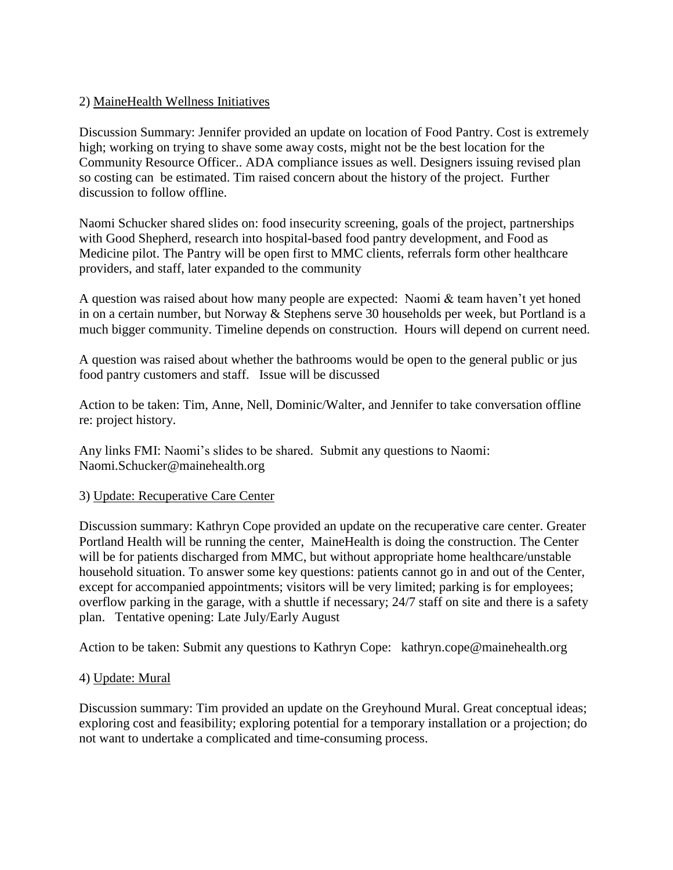# 2) MaineHealth Wellness Initiatives

Discussion Summary: Jennifer provided an update on location of Food Pantry. Cost is extremely high; working on trying to shave some away costs, might not be the best location for the Community Resource Officer.. ADA compliance issues as well. Designers issuing revised plan so costing can be estimated. Tim raised concern about the history of the project. Further discussion to follow offline.

Naomi Schucker shared slides on: food insecurity screening, goals of the project, partnerships with Good Shepherd, research into hospital-based food pantry development, and Food as Medicine pilot. The Pantry will be open first to MMC clients, referrals form other healthcare providers, and staff, later expanded to the community

A question was raised about how many people are expected: Naomi & team haven't yet honed in on a certain number, but Norway & Stephens serve 30 households per week, but Portland is a much bigger community. Timeline depends on construction. Hours will depend on current need.

A question was raised about whether the bathrooms would be open to the general public or jus food pantry customers and staff. Issue will be discussed

Action to be taken: Tim, Anne, Nell, Dominic/Walter, and Jennifer to take conversation offline re: project history.

Any links FMI: Naomi's slides to be shared. Submit any questions to Naomi: Naomi.Schucker@mainehealth.org

## 3) Update: Recuperative Care Center

Discussion summary: Kathryn Cope provided an update on the recuperative care center. Greater Portland Health will be running the center, MaineHealth is doing the construction. The Center will be for patients discharged from MMC, but without appropriate home healthcare/unstable household situation. To answer some key questions: patients cannot go in and out of the Center, except for accompanied appointments; visitors will be very limited; parking is for employees; overflow parking in the garage, with a shuttle if necessary; 24/7 staff on site and there is a safety plan. Tentative opening: Late July/Early August

Action to be taken: Submit any questions to Kathryn Cope: kathryn.cope@mainehealth.org

## 4) Update: Mural

Discussion summary: Tim provided an update on the Greyhound Mural. Great conceptual ideas; exploring cost and feasibility; exploring potential for a temporary installation or a projection; do not want to undertake a complicated and time-consuming process.